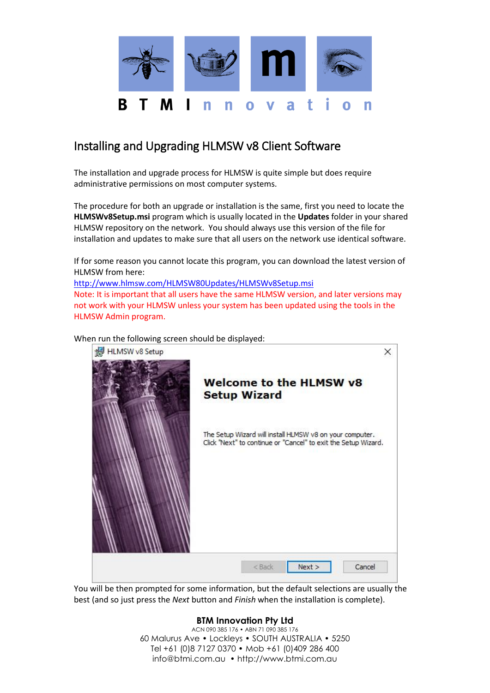

## Installing and Upgrading HLMSW v8 Client Software

The installation and upgrade process for HLMSW is quite simple but does require administrative permissions on most computer systems.

The procedure for both an upgrade or installation is the same, first you need to locate the **HLMSWv8Setup.msi** program which is usually located in the **Updates** folder in your shared HLMSW repository on the network. You should always use this version of the file for installation and updates to make sure that all users on the network use identical software.

If for some reason you cannot locate this program, you can download the latest version of HLMSW from here:

<http://www.hlmsw.com/HLMSW80Updates/HLMSWv8Setup.msi> Note: It is important that all users have the same HLMSW version, and later versions may not work with your HLMSW unless your system has been updated using the tools in the HLMSW Admin program.

When run the following screen should be displayed:



You will be then prompted for some information, but the default selections are usually the best (and so just press the *Next* button and *Finish* when the installation is complete).

## **BTM Innovation Pty Ltd**

ACN 090 385 176 • ABN 71 090 385 176 60 Malurus Ave • Lockleys • SOUTH AUSTRALIA • 5250 Tel +61 (0)8 7127 0370 • Mob +61 (0)409 286 400 info@btmi.com.au • http://www.btmi.com.au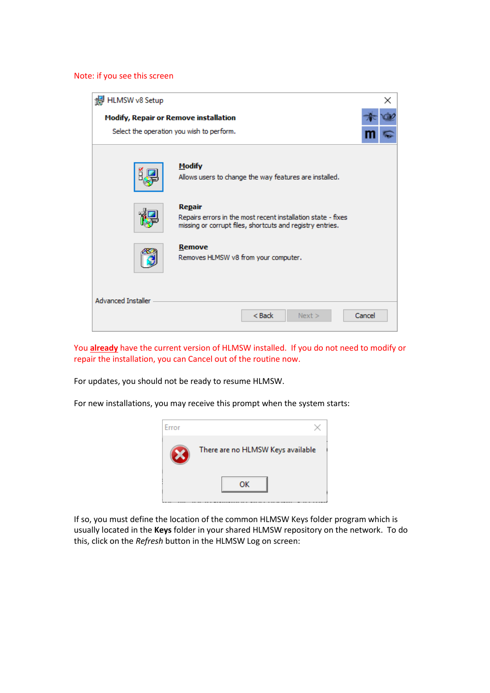## Note: if you see this screen



You **already** have the current version of HLMSW installed. If you do not need to modify or repair the installation, you can Cancel out of the routine now.

For updates, you should not be ready to resume HLMSW.

For new installations, you may receive this prompt when the system starts:



If so, you must define the location of the common HLMSW Keys folder program which is usually located in the **Keys** folder in your shared HLMSW repository on the network. To do this, click on the *Refresh* button in the HLMSW Log on screen: